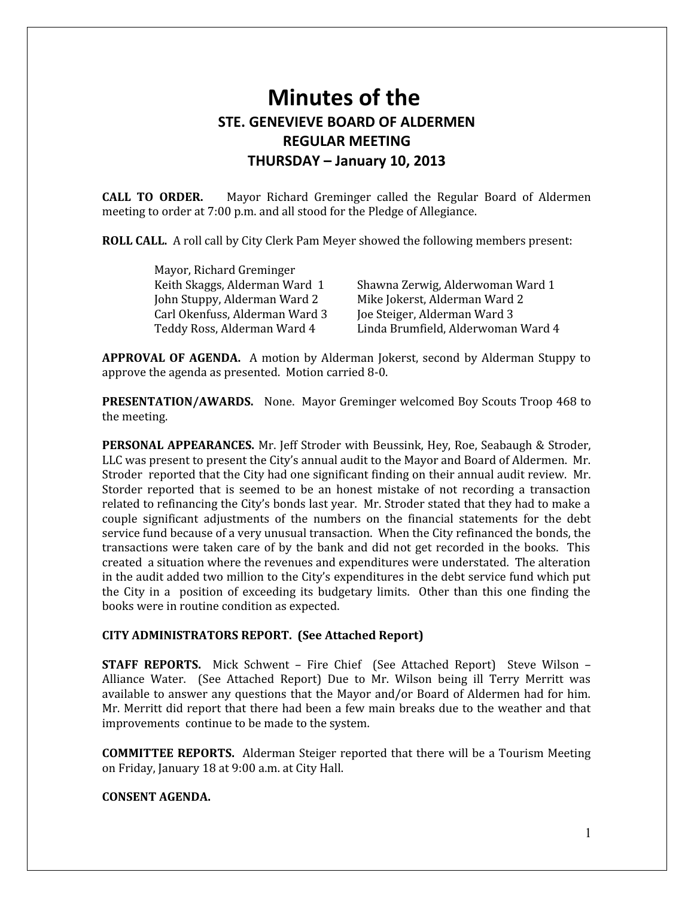# **Minutes of the STE. GENEVIEVE BOARD OF ALDERMEN REGULAR MEETING THURSDAY – January 10, 2013**

**CALL TO ORDER.** Mayor Richard Greminger called the Regular Board of Aldermen meeting to order at 7:00 p.m. and all stood for the Pledge of Allegiance.

**ROLL CALL.** A roll call by City Clerk Pam Meyer showed the following members present:

| Mayor, Richard Greminger       |                                    |
|--------------------------------|------------------------------------|
| Keith Skaggs, Alderman Ward 1  | Shawna Zerwig, Alderwoman Ward 1   |
| John Stuppy, Alderman Ward 2   | Mike Jokerst, Alderman Ward 2      |
| Carl Okenfuss, Alderman Ward 3 | Joe Steiger, Alderman Ward 3       |
| Teddy Ross, Alderman Ward 4    | Linda Brumfield, Alderwoman Ward 4 |

**APPROVAL OF AGENDA.** A motion by Alderman Jokerst, second by Alderman Stuppy to approve the agenda as presented. Motion carried 8-0.

**PRESENTATION/AWARDS.** None. Mayor Greminger welcomed Boy Scouts Troop 468 to the meeting.

**PERSONAL APPEARANCES.** Mr. Jeff Stroder with Beussink, Hey, Roe, Seabaugh & Stroder, LLC was present to present the City's annual audit to the Mayor and Board of Aldermen. Mr. Stroder reported that the City had one significant finding on their annual audit review. Mr. Storder reported that is seemed to be an honest mistake of not recording a transaction related to refinancing the City's bonds last year. Mr. Stroder stated that they had to make a couple significant adjustments of the numbers on the financial statements for the debt service fund because of a very unusual transaction. When the City refinanced the bonds, the transactions were taken care of by the bank and did not get recorded in the books. This created a situation where the revenues and expenditures were understated. The alteration in the audit added two million to the City's expenditures in the debt service fund which put the City in a position of exceeding its budgetary limits. Other than this one finding the books were in routine condition as expected.

## **CITY ADMINISTRATORS REPORT. (See Attached Report)**

**STAFF REPORTS.** Mick Schwent – Fire Chief (See Attached Report) Steve Wilson – Alliance Water. (See Attached Report) Due to Mr. Wilson being ill Terry Merritt was available to answer any questions that the Mayor and/or Board of Aldermen had for him. Mr. Merritt did report that there had been a few main breaks due to the weather and that improvements continue to be made to the system.

**COMMITTEE REPORTS.** Alderman Steiger reported that there will be a Tourism Meeting on Friday, January 18 at 9:00 a.m. at City Hall.

### **CONSENT AGENDA.**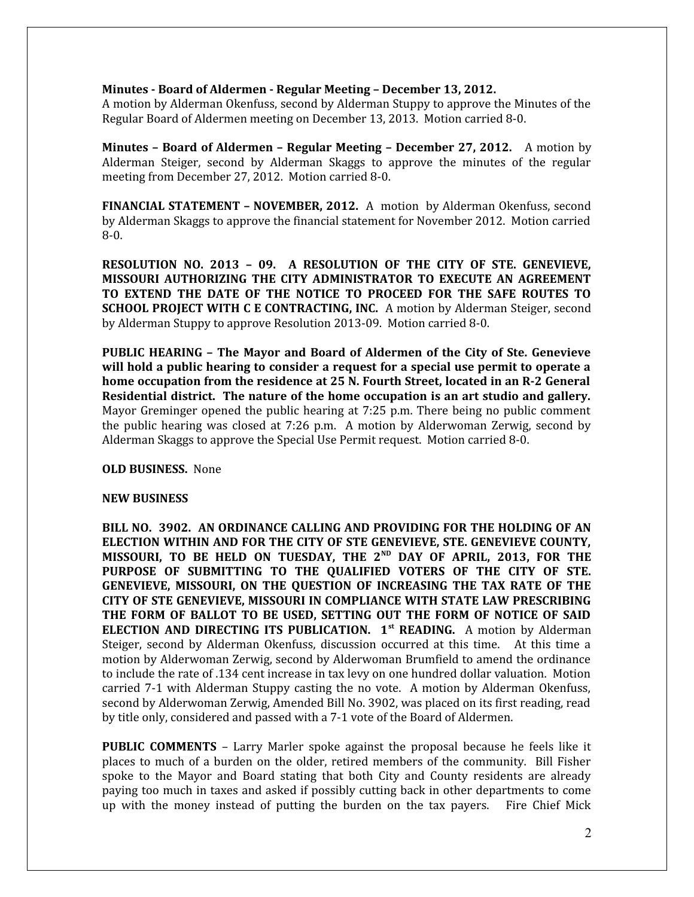#### **Minutes - Board of Aldermen - Regular Meeting – December 13, 2012.**

A motion by Alderman Okenfuss, second by Alderman Stuppy to approve the Minutes of the Regular Board of Aldermen meeting on December 13, 2013. Motion carried 8-0.

**Minutes – Board of Aldermen – Regular Meeting – December 27, 2012.** A motion by Alderman Steiger, second by Alderman Skaggs to approve the minutes of the regular meeting from December 27, 2012. Motion carried 8-0.

**FINANCIAL STATEMENT – NOVEMBER, 2012.** A motion by Alderman Okenfuss, second by Alderman Skaggs to approve the financial statement for November 2012. Motion carried 8-0.

**RESOLUTION NO. 2013 – 09. A RESOLUTION OF THE CITY OF STE. GENEVIEVE, MISSOURI AUTHORIZING THE CITY ADMINISTRATOR TO EXECUTE AN AGREEMENT TO EXTEND THE DATE OF THE NOTICE TO PROCEED FOR THE SAFE ROUTES TO SCHOOL PROJECT WITH C E CONTRACTING, INC.** A motion by Alderman Steiger, second by Alderman Stuppy to approve Resolution 2013-09. Motion carried 8-0.

**PUBLIC HEARING – The Mayor and Board of Aldermen of the City of Ste. Genevieve will hold a public hearing to consider a request for a special use permit to operate a home occupation from the residence at 25 N. Fourth Street, located in an R-2 General Residential district. The nature of the home occupation is an art studio and gallery.** Mayor Greminger opened the public hearing at 7:25 p.m. There being no public comment the public hearing was closed at 7:26 p.m. A motion by Alderwoman Zerwig, second by Alderman Skaggs to approve the Special Use Permit request. Motion carried 8-0.

**OLD BUSINESS.** None

#### **NEW BUSINESS**

**BILL NO. 3902. AN ORDINANCE CALLING AND PROVIDING FOR THE HOLDING OF AN ELECTION WITHIN AND FOR THE CITY OF STE GENEVIEVE, STE. GENEVIEVE COUNTY, MISSOURI, TO BE HELD ON TUESDAY, THE 2ND DAY OF APRIL, 2013, FOR THE PURPOSE OF SUBMITTING TO THE QUALIFIED VOTERS OF THE CITY OF STE. GENEVIEVE, MISSOURI, ON THE QUESTION OF INCREASING THE TAX RATE OF THE CITY OF STE GENEVIEVE, MISSOURI IN COMPLIANCE WITH STATE LAW PRESCRIBING THE FORM OF BALLOT TO BE USED, SETTING OUT THE FORM OF NOTICE OF SAID ELECTION AND DIRECTING ITS PUBLICATION. 1st READING.** A motion by Alderman Steiger, second by Alderman Okenfuss, discussion occurred at this time. At this time a motion by Alderwoman Zerwig, second by Alderwoman Brumfield to amend the ordinance to include the rate of .134 cent increase in tax levy on one hundred dollar valuation. Motion carried 7-1 with Alderman Stuppy casting the no vote. A motion by Alderman Okenfuss, second by Alderwoman Zerwig, Amended Bill No. 3902, was placed on its first reading, read by title only, considered and passed with a 7-1 vote of the Board of Aldermen.

**PUBLIC COMMENTS** – Larry Marler spoke against the proposal because he feels like it places to much of a burden on the older, retired members of the community. Bill Fisher spoke to the Mayor and Board stating that both City and County residents are already paying too much in taxes and asked if possibly cutting back in other departments to come up with the money instead of putting the burden on the tax payers. Fire Chief Mick